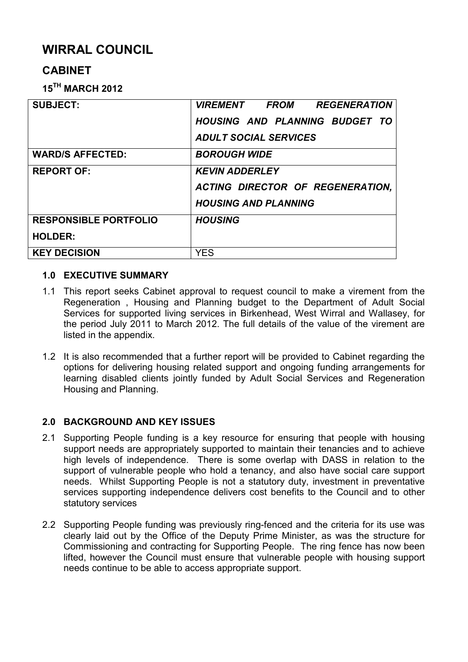# **WIRRAL COUNCIL**

## **CABINET**

**15TH MARCH 2012**

| <b>SUBJECT:</b>              | <i><b>VIREMENT FROM</b></i><br><b>REGENERATION</b> |  |  |
|------------------------------|----------------------------------------------------|--|--|
|                              | HOUSING AND PLANNING BUDGET TO                     |  |  |
|                              | <b>ADULT SOCIAL SERVICES</b>                       |  |  |
| <b>WARD/S AFFECTED:</b>      | <b>BOROUGH WIDE</b>                                |  |  |
| <b>REPORT OF:</b>            | <b>KEVIN ADDERLEY</b>                              |  |  |
|                              | ACTING DIRECTOR OF REGENERATION,                   |  |  |
|                              | <b>HOUSING AND PLANNING</b>                        |  |  |
| <b>RESPONSIBLE PORTFOLIO</b> | <b>HOUSING</b>                                     |  |  |
| <b>HOLDER:</b>               |                                                    |  |  |
| <b>KEY DECISION</b>          | YES                                                |  |  |

#### **1.0 EXECUTIVE SUMMARY**

- 1.1 This report seeks Cabinet approval to request council to make a virement from the Regeneration , Housing and Planning budget to the Department of Adult Social Services for supported living services in Birkenhead, West Wirral and Wallasey, for the period July 2011 to March 2012. The full details of the value of the virement are listed in the appendix.
- 1.2 It is also recommended that a further report will be provided to Cabinet regarding the options for delivering housing related support and ongoing funding arrangements for learning disabled clients jointly funded by Adult Social Services and Regeneration Housing and Planning.

## **2.0 BACKGROUND AND KEY ISSUES**

- 2.1 Supporting People funding is a key resource for ensuring that people with housing support needs are appropriately supported to maintain their tenancies and to achieve high levels of independence. There is some overlap with DASS in relation to the support of vulnerable people who hold a tenancy, and also have social care support needs. Whilst Supporting People is not a statutory duty, investment in preventative services supporting independence delivers cost benefits to the Council and to other statutory services
- 2.2 Supporting People funding was previously ring-fenced and the criteria for its use was clearly laid out by the Office of the Deputy Prime Minister, as was the structure for Commissioning and contracting for Supporting People. The ring fence has now been lifted, however the Council must ensure that vulnerable people with housing support needs continue to be able to access appropriate support.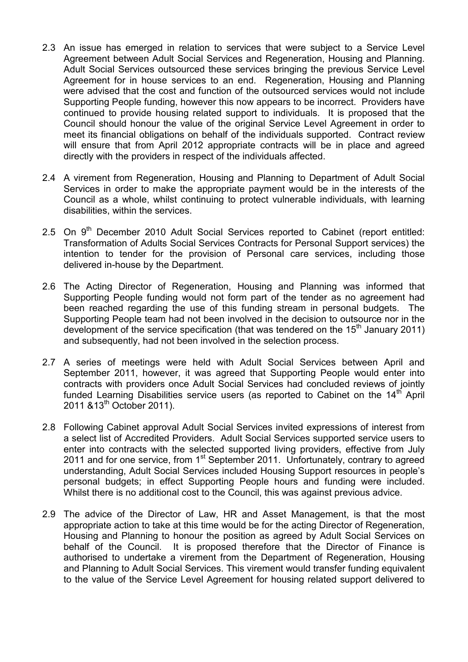- 2.3 An issue has emerged in relation to services that were subject to a Service Level Agreement between Adult Social Services and Regeneration, Housing and Planning. Adult Social Services outsourced these services bringing the previous Service Level Agreement for in house services to an end. Regeneration, Housing and Planning were advised that the cost and function of the outsourced services would not include Supporting People funding, however this now appears to be incorrect. Providers have continued to provide housing related support to individuals. It is proposed that the Council should honour the value of the original Service Level Agreement in order to meet its financial obligations on behalf of the individuals supported. Contract review will ensure that from April 2012 appropriate contracts will be in place and agreed directly with the providers in respect of the individuals affected.
- 2.4 A virement from Regeneration, Housing and Planning to Department of Adult Social Services in order to make the appropriate payment would be in the interests of the Council as a whole, whilst continuing to protect vulnerable individuals, with learning disabilities, within the services.
- 2.5 On 9<sup>th</sup> December 2010 Adult Social Services reported to Cabinet (report entitled: Transformation of Adults Social Services Contracts for Personal Support services) the intention to tender for the provision of Personal care services, including those delivered in-house by the Department.
- 2.6 The Acting Director of Regeneration, Housing and Planning was informed that Supporting People funding would not form part of the tender as no agreement had been reached regarding the use of this funding stream in personal budgets. The Supporting People team had not been involved in the decision to outsource nor in the development of the service specification (that was tendered on the  $15<sup>th</sup>$  January 2011) and subsequently, had not been involved in the selection process.
- 2.7 A series of meetings were held with Adult Social Services between April and September 2011, however, it was agreed that Supporting People would enter into contracts with providers once Adult Social Services had concluded reviews of jointly funded Learning Disabilities service users (as reported to Cabinet on the  $14<sup>th</sup>$  April 2011 & 13<sup>th</sup> October 2011).
- 2.8 Following Cabinet approval Adult Social Services invited expressions of interest from a select list of Accredited Providers. Adult Social Services supported service users to enter into contracts with the selected supported living providers, effective from July 2011 and for one service, from 1<sup>st</sup> September 2011. Unfortunately, contrary to agreed understanding, Adult Social Services included Housing Support resources in people's personal budgets; in effect Supporting People hours and funding were included. Whilst there is no additional cost to the Council, this was against previous advice.
- 2.9 The advice of the Director of Law, HR and Asset Management, is that the most appropriate action to take at this time would be for the acting Director of Regeneration, Housing and Planning to honour the position as agreed by Adult Social Services on behalf of the Council. It is proposed therefore that the Director of Finance is authorised to undertake a virement from the Department of Regeneration, Housing and Planning to Adult Social Services. This virement would transfer funding equivalent to the value of the Service Level Agreement for housing related support delivered to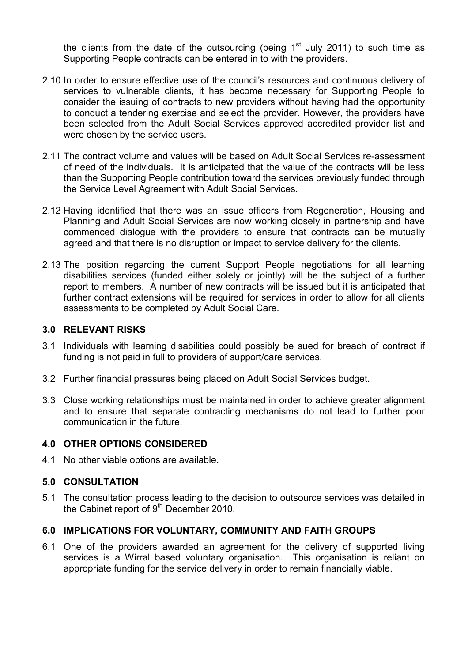the clients from the date of the outsourcing (being  $1<sup>st</sup>$  July 2011) to such time as Supporting People contracts can be entered in to with the providers.

- 2.10 In order to ensure effective use of the council's resources and continuous delivery of services to vulnerable clients, it has become necessary for Supporting People to consider the issuing of contracts to new providers without having had the opportunity to conduct a tendering exercise and select the provider. However, the providers have been selected from the Adult Social Services approved accredited provider list and were chosen by the service users.
- 2.11 The contract volume and values will be based on Adult Social Services re-assessment of need of the individuals. It is anticipated that the value of the contracts will be less than the Supporting People contribution toward the services previously funded through the Service Level Agreement with Adult Social Services.
- 2.12 Having identified that there was an issue officers from Regeneration, Housing and Planning and Adult Social Services are now working closely in partnership and have commenced dialogue with the providers to ensure that contracts can be mutually agreed and that there is no disruption or impact to service delivery for the clients.
- 2.13 The position regarding the current Support People negotiations for all learning disabilities services (funded either solely or jointly) will be the subject of a further report to members. A number of new contracts will be issued but it is anticipated that further contract extensions will be required for services in order to allow for all clients assessments to be completed by Adult Social Care.

#### **3.0 RELEVANT RISKS**

- 3.1 Individuals with learning disabilities could possibly be sued for breach of contract if funding is not paid in full to providers of support/care services.
- 3.2 Further financial pressures being placed on Adult Social Services budget.
- 3.3 Close working relationships must be maintained in order to achieve greater alignment and to ensure that separate contracting mechanisms do not lead to further poor communication in the future.

#### **4.0 OTHER OPTIONS CONSIDERED**

4.1 No other viable options are available.

## **5.0 CONSULTATION**

5.1 The consultation process leading to the decision to outsource services was detailed in the Cabinet report of  $9<sup>th</sup>$  December 2010.

## **6.0 IMPLICATIONS FOR VOLUNTARY, COMMUNITY AND FAITH GROUPS**

6.1 One of the providers awarded an agreement for the delivery of supported living services is a Wirral based voluntary organisation. This organisation is reliant on appropriate funding for the service delivery in order to remain financially viable.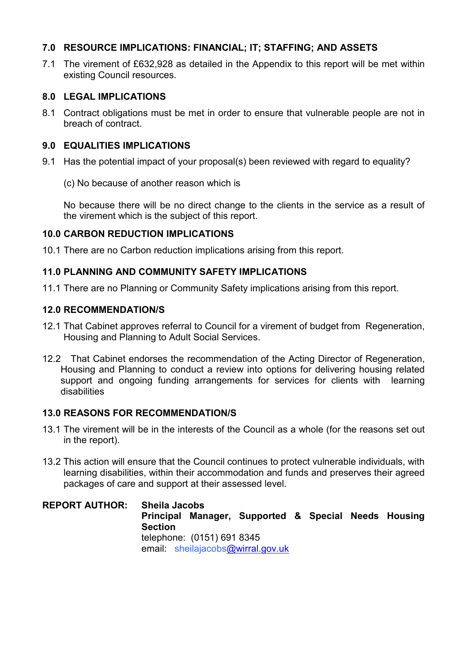## **7.0 RESOURCE IMPLICATIONS: FINANCIAL; IT; STAFFING; AND ASSETS**

7.1 The virement of £632,928 as detailed in the Appendix to this report will be met within existing Council resources.

### **8.0 LEGAL IMPLICATIONS**

8.1 Contract obligations must be met in order to ensure that vulnerable people are not in breach of contract.

#### **9.0 EQUALITIES IMPLICATIONS**

- 9.1 Has the potential impact of your proposal(s) been reviewed with regard to equality?
	- (c) No because of another reason which is

 No because there will be no direct change to the clients in the service as a result of the virement which is the subject of this report.

#### **10.0 CARBON REDUCTION IMPLICATIONS**

10.1 There are no Carbon reduction implications arising from this report.

#### **11.0 PLANNING AND COMMUNITY SAFETY IMPLICATIONS**

11.1 There are no Planning or Community Safety implications arising from this report.

#### **12.0 RECOMMENDATION/S**

- 12.1 That Cabinet approves referral to Council for a virement of budget from Regeneration, Housing and Planning to Adult Social Services.
- 12.2 That Cabinet endorses the recommendation of the Acting Director of Regeneration, Housing and Planning to conduct a review into options for delivering housing related support and ongoing funding arrangements for services for clients with learning disabilities

#### **13.0 REASONS FOR RECOMMENDATION/S**

- 13.1 The virement will be in the interests of the Council as a whole (for the reasons set out in the report).
- 13.2 This action will ensure that the Council continues to protect vulnerable individuals, with learning disabilities, within their accommodation and funds and preserves their agreed packages of care and support at their assessed level.

**REPORT AUTHOR: Sheila Jacobs Principal Manager, Supported & Special Needs Housing Section** telephone: (0151) 691 8345 email: sheilajacobs@wirral.gov.uk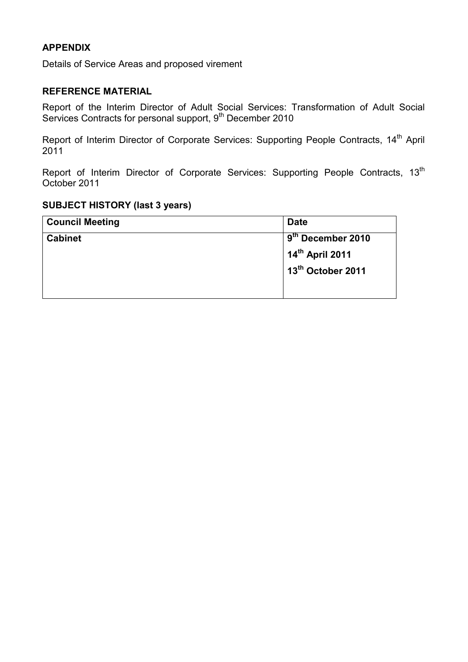## **APPENDIX**

Details of Service Areas and proposed virement

### **REFERENCE MATERIAL**

Report of the Interim Director of Adult Social Services: Transformation of Adult Social Services Contracts for personal support, 9<sup>th</sup> December 2010

Report of Interim Director of Corporate Services: Supporting People Contracts, 14<sup>th</sup> April 2011

Report of Interim Director of Corporate Services: Supporting People Contracts, 13<sup>th</sup> October 2011

## **SUBJECT HISTORY (last 3 years)**

| <b>Council Meeting</b> | <b>Date</b>                   |  |
|------------------------|-------------------------------|--|
| <b>Cabinet</b>         | 9 <sup>th</sup> December 2010 |  |
|                        | 14th April 2011               |  |
|                        | 13th October 2011             |  |
|                        |                               |  |